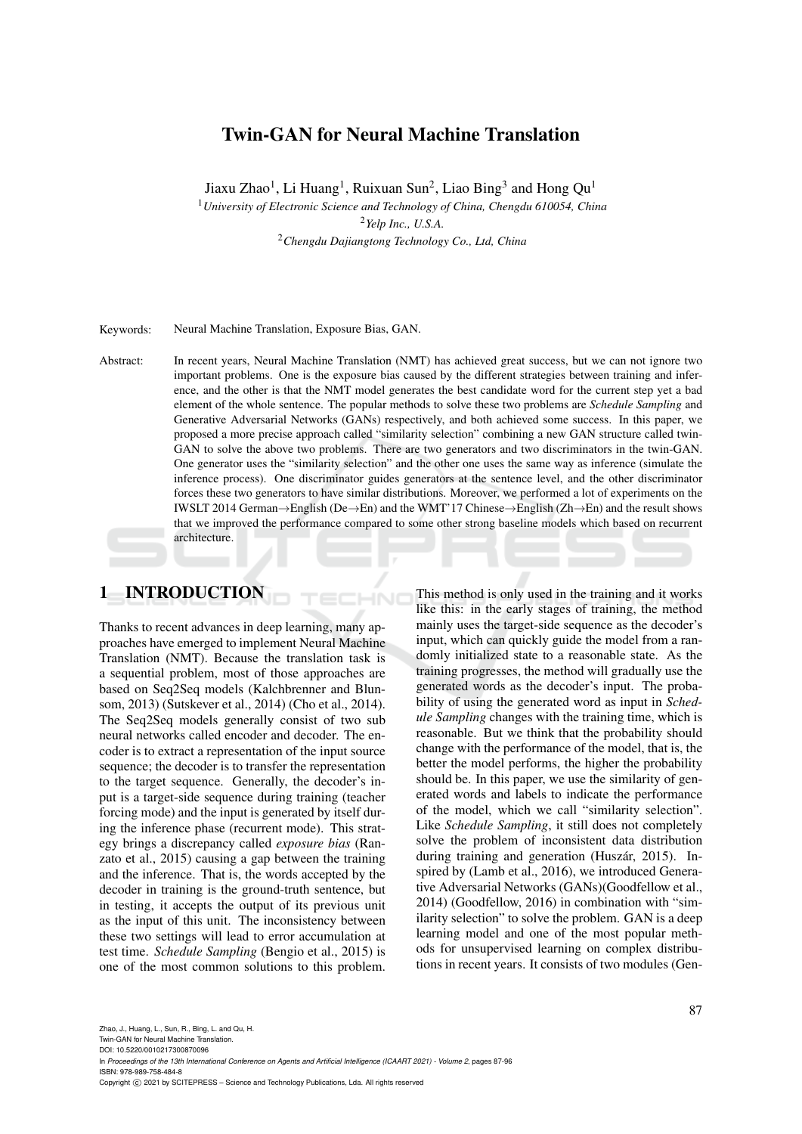# Twin-GAN for Neural Machine Translation

Jiaxu Zhao<sup>1</sup>, Li Huang<sup>1</sup>, Ruixuan Sun<sup>2</sup>, Liao Bing<sup>3</sup> and Hong Qu<sup>1</sup>

<sup>1</sup>*University of Electronic Science and Technology of China, Chengdu 610054, China*

<sup>2</sup>*Yelp Inc., U.S.A.*

<sup>2</sup>*Chengdu Dajiangtong Technology Co., Ltd, China*

Keywords: Neural Machine Translation, Exposure Bias, GAN.

Abstract: In recent years, Neural Machine Translation (NMT) has achieved great success, but we can not ignore two important problems. One is the exposure bias caused by the different strategies between training and inference, and the other is that the NMT model generates the best candidate word for the current step yet a bad element of the whole sentence. The popular methods to solve these two problems are *Schedule Sampling* and Generative Adversarial Networks (GANs) respectively, and both achieved some success. In this paper, we proposed a more precise approach called "similarity selection" combining a new GAN structure called twin-GAN to solve the above two problems. There are two generators and two discriminators in the twin-GAN. One generator uses the "similarity selection" and the other one uses the same way as inference (simulate the inference process). One discriminator guides generators at the sentence level, and the other discriminator forces these two generators to have similar distributions. Moreover, we performed a lot of experiments on the IWSLT 2014 German→English (De→En) and the WMT'17 Chinese→English (Zh→En) and the result shows that we improved the performance compared to some other strong baseline models which based on recurrent architecture.

# 1 INTRODUCTION

Thanks to recent advances in deep learning, many approaches have emerged to implement Neural Machine Translation (NMT). Because the translation task is a sequential problem, most of those approaches are based on Seq2Seq models (Kalchbrenner and Blunsom, 2013) (Sutskever et al., 2014) (Cho et al., 2014). The Seq2Seq models generally consist of two sub neural networks called encoder and decoder. The encoder is to extract a representation of the input source sequence; the decoder is to transfer the representation to the target sequence. Generally, the decoder's input is a target-side sequence during training (teacher forcing mode) and the input is generated by itself during the inference phase (recurrent mode). This strategy brings a discrepancy called *exposure bias* (Ranzato et al., 2015) causing a gap between the training and the inference. That is, the words accepted by the decoder in training is the ground-truth sentence, but in testing, it accepts the output of its previous unit as the input of this unit. The inconsistency between these two settings will lead to error accumulation at test time. *Schedule Sampling* (Bengio et al., 2015) is one of the most common solutions to this problem.

This method is only used in the training and it works like this: in the early stages of training, the method mainly uses the target-side sequence as the decoder's input, which can quickly guide the model from a randomly initialized state to a reasonable state. As the training progresses, the method will gradually use the generated words as the decoder's input. The probability of using the generated word as input in *Schedule Sampling* changes with the training time, which is reasonable. But we think that the probability should change with the performance of the model, that is, the better the model performs, the higher the probability should be. In this paper, we use the similarity of generated words and labels to indicate the performance of the model, which we call "similarity selection". Like *Schedule Sampling*, it still does not completely solve the problem of inconsistent data distribution during training and generation (Huszár, 2015). Inspired by (Lamb et al., 2016), we introduced Generative Adversarial Networks (GANs)(Goodfellow et al., 2014) (Goodfellow, 2016) in combination with "similarity selection" to solve the problem. GAN is a deep learning model and one of the most popular methods for unsupervised learning on complex distributions in recent years. It consists of two modules (Gen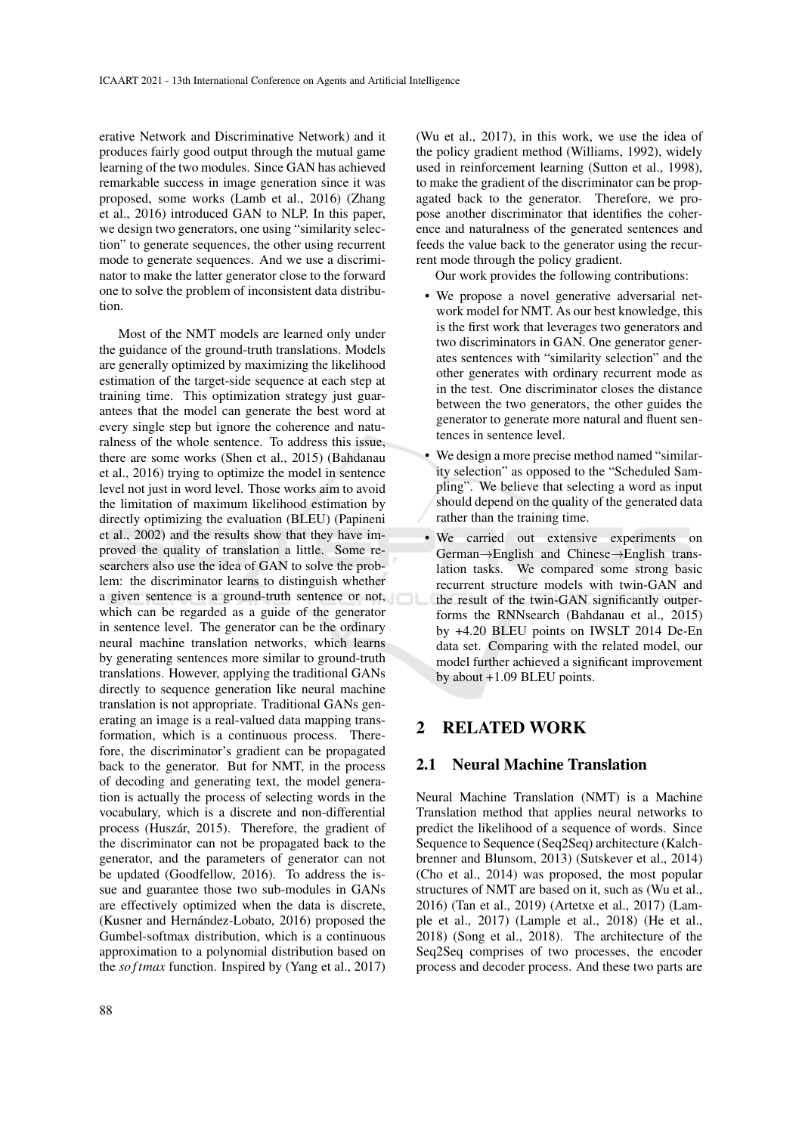erative Network and Discriminative Network) and it produces fairly good output through the mutual game learning of the two modules. Since GAN has achieved remarkable success in image generation since it was proposed, some works (Lamb et al., 2016) (Zhang et al., 2016) introduced GAN to NLP. In this paper, we design two generators, one using "similarity selection" to generate sequences, the other using recurrent mode to generate sequences. And we use a discriminator to make the latter generator close to the forward one to solve the problem of inconsistent data distribution.

Most of the NMT models are learned only under the guidance of the ground-truth translations. Models are generally optimized by maximizing the likelihood estimation of the target-side sequence at each step at training time. This optimization strategy just guarantees that the model can generate the best word at every single step but ignore the coherence and naturalness of the whole sentence. To address this issue, there are some works (Shen et al., 2015) (Bahdanau et al., 2016) trying to optimize the model in sentence level not just in word level. Those works aim to avoid the limitation of maximum likelihood estimation by directly optimizing the evaluation (BLEU) (Papineni et al., 2002) and the results show that they have improved the quality of translation a little. Some researchers also use the idea of GAN to solve the problem: the discriminator learns to distinguish whether a given sentence is a ground-truth sentence or not, which can be regarded as a guide of the generator in sentence level. The generator can be the ordinary neural machine translation networks, which learns by generating sentences more similar to ground-truth translations. However, applying the traditional GANs directly to sequence generation like neural machine translation is not appropriate. Traditional GANs generating an image is a real-valued data mapping transformation, which is a continuous process. Therefore, the discriminator's gradient can be propagated back to the generator. But for NMT, in the process of decoding and generating text, the model generation is actually the process of selecting words in the vocabulary, which is a discrete and non-differential process (Huszár, 2015). Therefore, the gradient of the discriminator can not be propagated back to the generator, and the parameters of generator can not be updated (Goodfellow, 2016). To address the issue and guarantee those two sub-modules in GANs are effectively optimized when the data is discrete, (Kusner and Hernández-Lobato, 2016) proposed the Gumbel-softmax distribution, which is a continuous approximation to a polynomial distribution based on the *so ftmax* function. Inspired by (Yang et al., 2017)

(Wu et al., 2017), in this work, we use the idea of the policy gradient method (Williams, 1992), widely used in reinforcement learning (Sutton et al., 1998), to make the gradient of the discriminator can be propagated back to the generator. Therefore, we propose another discriminator that identifies the coherence and naturalness of the generated sentences and feeds the value back to the generator using the recurrent mode through the policy gradient.

Our work provides the following contributions:

- We propose a novel generative adversarial network model for NMT. As our best knowledge, this is the first work that leverages two generators and two discriminators in GAN. One generator generates sentences with "similarity selection" and the other generates with ordinary recurrent mode as in the test. One discriminator closes the distance between the two generators, the other guides the generator to generate more natural and fluent sentences in sentence level.
- We design a more precise method named "similarity selection" as opposed to the "Scheduled Sampling". We believe that selecting a word as input should depend on the quality of the generated data rather than the training time.
- We carried out extensive experiments on German→English and Chinese→English translation tasks. We compared some strong basic recurrent structure models with twin-GAN and the result of the twin-GAN significantly outperforms the RNNsearch (Bahdanau et al., 2015) by +4.20 BLEU points on IWSLT 2014 De-En data set. Comparing with the related model, our model further achieved a significant improvement by about +1.09 BLEU points.

## 2 RELATED WORK

### 2.1 Neural Machine Translation

Neural Machine Translation (NMT) is a Machine Translation method that applies neural networks to predict the likelihood of a sequence of words. Since Sequence to Sequence (Seq2Seq) architecture (Kalchbrenner and Blunsom, 2013) (Sutskever et al., 2014) (Cho et al., 2014) was proposed, the most popular structures of NMT are based on it, such as (Wu et al., 2016) (Tan et al., 2019) (Artetxe et al., 2017) (Lample et al., 2017) (Lample et al., 2018) (He et al., 2018) (Song et al., 2018). The architecture of the Seq2Seq comprises of two processes, the encoder process and decoder process. And these two parts are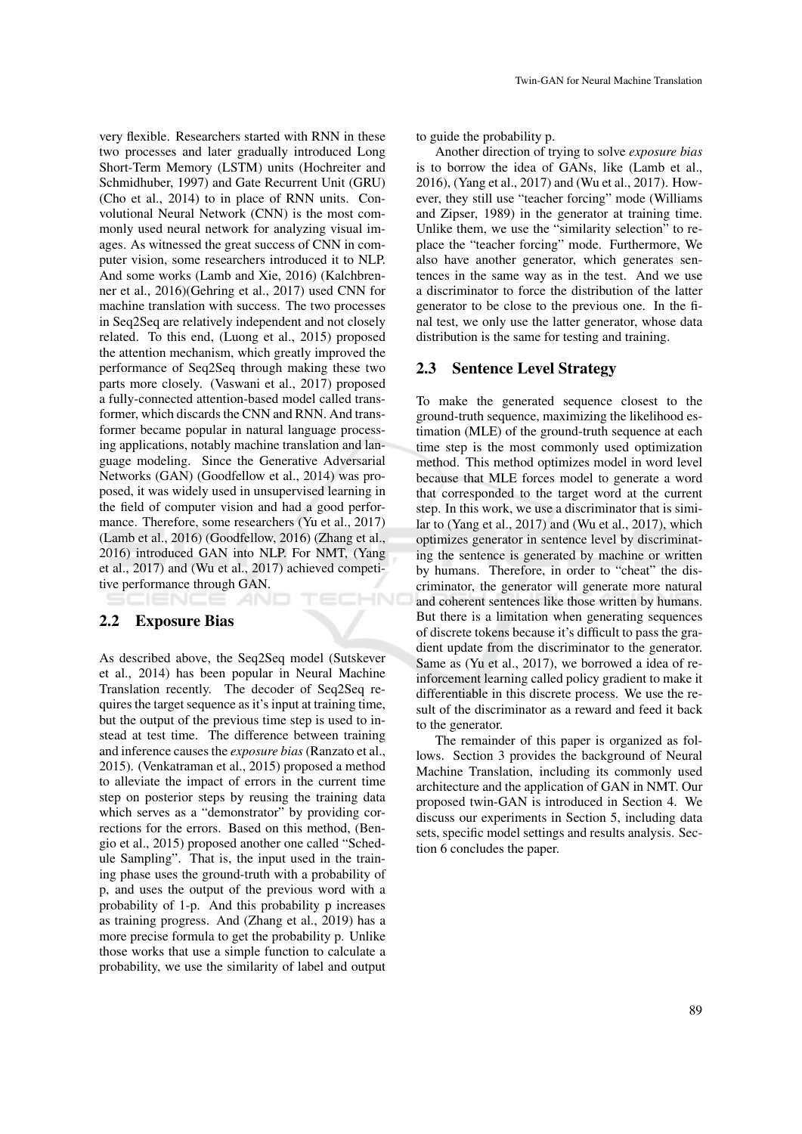very flexible. Researchers started with RNN in these two processes and later gradually introduced Long Short-Term Memory (LSTM) units (Hochreiter and Schmidhuber, 1997) and Gate Recurrent Unit (GRU) (Cho et al., 2014) to in place of RNN units. Convolutional Neural Network (CNN) is the most commonly used neural network for analyzing visual images. As witnessed the great success of CNN in computer vision, some researchers introduced it to NLP. And some works (Lamb and Xie, 2016) (Kalchbrenner et al., 2016)(Gehring et al., 2017) used CNN for machine translation with success. The two processes in Seq2Seq are relatively independent and not closely related. To this end, (Luong et al., 2015) proposed the attention mechanism, which greatly improved the performance of Seq2Seq through making these two parts more closely. (Vaswani et al., 2017) proposed a fully-connected attention-based model called transformer, which discards the CNN and RNN. And transformer became popular in natural language processing applications, notably machine translation and language modeling. Since the Generative Adversarial Networks (GAN) (Goodfellow et al., 2014) was proposed, it was widely used in unsupervised learning in the field of computer vision and had a good performance. Therefore, some researchers (Yu et al., 2017) (Lamb et al., 2016) (Goodfellow, 2016) (Zhang et al., 2016) introduced GAN into NLP. For NMT, (Yang et al., 2017) and (Wu et al., 2017) achieved competitive performance through GAN.

#### 2.2 Exposure Bias

As described above, the Seq2Seq model (Sutskever et al., 2014) has been popular in Neural Machine Translation recently. The decoder of Seq2Seq requires the target sequence as it's input at training time, but the output of the previous time step is used to instead at test time. The difference between training and inference causes the *exposure bias* (Ranzato et al., 2015). (Venkatraman et al., 2015) proposed a method to alleviate the impact of errors in the current time step on posterior steps by reusing the training data which serves as a "demonstrator" by providing corrections for the errors. Based on this method, (Bengio et al., 2015) proposed another one called "Schedule Sampling". That is, the input used in the training phase uses the ground-truth with a probability of p, and uses the output of the previous word with a probability of 1-p. And this probability p increases as training progress. And (Zhang et al., 2019) has a more precise formula to get the probability p. Unlike those works that use a simple function to calculate a probability, we use the similarity of label and output

'ECHN0

to guide the probability p.

Another direction of trying to solve *exposure bias* is to borrow the idea of GANs, like (Lamb et al., 2016), (Yang et al., 2017) and (Wu et al., 2017). However, they still use "teacher forcing" mode (Williams and Zipser, 1989) in the generator at training time. Unlike them, we use the "similarity selection" to replace the "teacher forcing" mode. Furthermore, We also have another generator, which generates sentences in the same way as in the test. And we use a discriminator to force the distribution of the latter generator to be close to the previous one. In the final test, we only use the latter generator, whose data distribution is the same for testing and training.

#### 2.3 Sentence Level Strategy

To make the generated sequence closest to the ground-truth sequence, maximizing the likelihood estimation (MLE) of the ground-truth sequence at each time step is the most commonly used optimization method. This method optimizes model in word level because that MLE forces model to generate a word that corresponded to the target word at the current step. In this work, we use a discriminator that is similar to (Yang et al., 2017) and (Wu et al., 2017), which optimizes generator in sentence level by discriminating the sentence is generated by machine or written by humans. Therefore, in order to "cheat" the discriminator, the generator will generate more natural and coherent sentences like those written by humans. But there is a limitation when generating sequences of discrete tokens because it's difficult to pass the gradient update from the discriminator to the generator. Same as (Yu et al., 2017), we borrowed a idea of reinforcement learning called policy gradient to make it differentiable in this discrete process. We use the result of the discriminator as a reward and feed it back to the generator.

The remainder of this paper is organized as follows. Section 3 provides the background of Neural Machine Translation, including its commonly used architecture and the application of GAN in NMT. Our proposed twin-GAN is introduced in Section 4. We discuss our experiments in Section 5, including data sets, specific model settings and results analysis. Section 6 concludes the paper.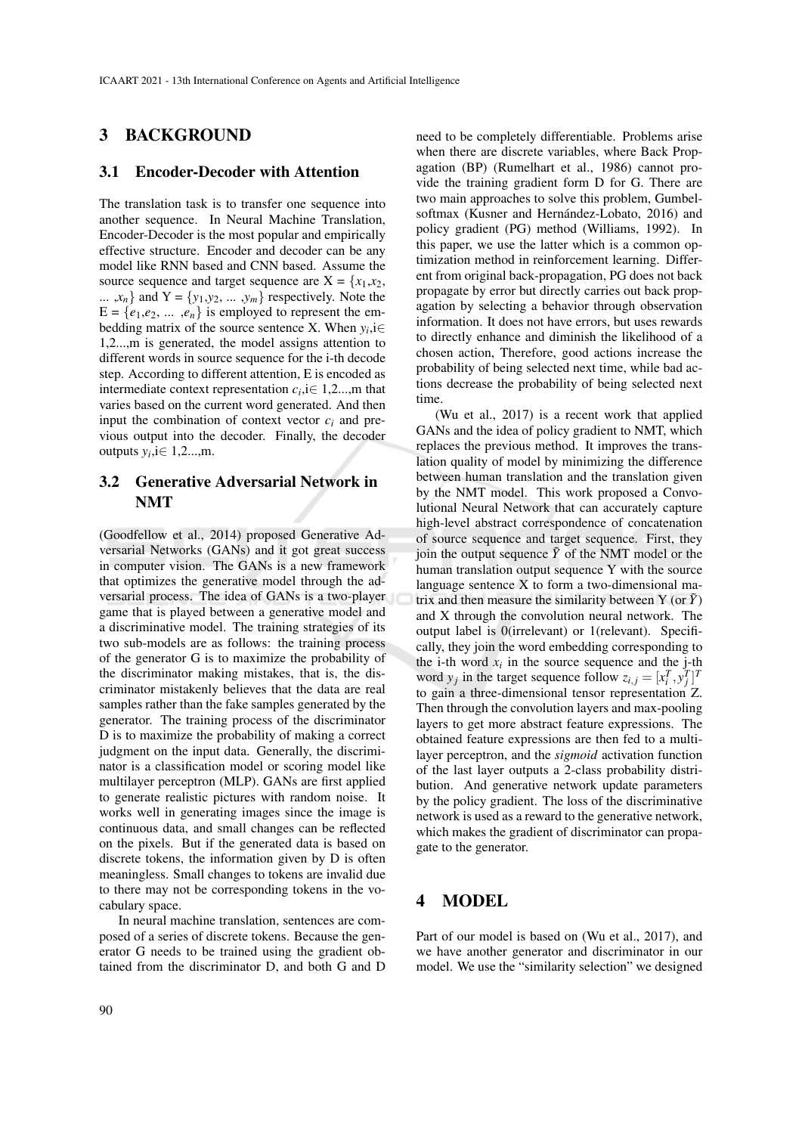## 3 BACKGROUND

#### 3.1 Encoder-Decoder with Attention

The translation task is to transfer one sequence into another sequence. In Neural Machine Translation, Encoder-Decoder is the most popular and empirically effective structure. Encoder and decoder can be any model like RNN based and CNN based. Assume the source sequence and target sequence are  $X = \{x_1, x_2,$ ...  $x_n$  and  $Y = \{y_1, y_2, \dots, y_m\}$  respectively. Note the  $E = \{e_1, e_2, \dots, e_n\}$  is employed to represent the embedding matrix of the source sentence X. When  $y_i$ ,  $i \in$ 1,2...,m is generated, the model assigns attention to different words in source sequence for the i-th decode step. According to different attention, E is encoded as intermediate context representation  $c_i$ , i $\in$  1,2..., m that varies based on the current word generated. And then input the combination of context vector  $c_i$  and previous output into the decoder. Finally, the decoder outputs  $y_i$ ,*i*∈ 1,2...,m.

## 3.2 Generative Adversarial Network in NMT

(Goodfellow et al., 2014) proposed Generative Adversarial Networks (GANs) and it got great success in computer vision. The GANs is a new framework that optimizes the generative model through the adversarial process. The idea of GANs is a two-player game that is played between a generative model and a discriminative model. The training strategies of its two sub-models are as follows: the training process of the generator G is to maximize the probability of the discriminator making mistakes, that is, the discriminator mistakenly believes that the data are real samples rather than the fake samples generated by the generator. The training process of the discriminator D is to maximize the probability of making a correct judgment on the input data. Generally, the discriminator is a classification model or scoring model like multilayer perceptron (MLP). GANs are first applied to generate realistic pictures with random noise. It works well in generating images since the image is continuous data, and small changes can be reflected on the pixels. But if the generated data is based on discrete tokens, the information given by D is often meaningless. Small changes to tokens are invalid due to there may not be corresponding tokens in the vocabulary space.

In neural machine translation, sentences are composed of a series of discrete tokens. Because the generator G needs to be trained using the gradient obtained from the discriminator D, and both G and D

need to be completely differentiable. Problems arise when there are discrete variables, where Back Propagation (BP) (Rumelhart et al., 1986) cannot provide the training gradient form D for G. There are two main approaches to solve this problem, Gumbelsoftmax (Kusner and Hernández-Lobato, 2016) and policy gradient (PG) method (Williams, 1992). In this paper, we use the latter which is a common optimization method in reinforcement learning. Different from original back-propagation, PG does not back propagate by error but directly carries out back propagation by selecting a behavior through observation information. It does not have errors, but uses rewards to directly enhance and diminish the likelihood of a chosen action, Therefore, good actions increase the probability of being selected next time, while bad actions decrease the probability of being selected next time.

(Wu et al., 2017) is a recent work that applied GANs and the idea of policy gradient to NMT, which replaces the previous method. It improves the translation quality of model by minimizing the difference between human translation and the translation given by the NMT model. This work proposed a Convolutional Neural Network that can accurately capture high-level abstract correspondence of concatenation of source sequence and target sequence. First, they join the output sequence  $\tilde{Y}$  of the NMT model or the human translation output sequence Y with the source language sentence X to form a two-dimensional matrix and then measure the similarity between Y (or  $\tilde{Y}$ ) and X through the convolution neural network. The output label is 0(irrelevant) or 1(relevant). Specifically, they join the word embedding corresponding to the i-th word  $x_i$  in the source sequence and the j-th word  $y_j$  in the target sequence follow  $z_{i,j} = [x_i^T, y_j^T]^T$ to gain a three-dimensional tensor representation Z. Then through the convolution layers and max-pooling layers to get more abstract feature expressions. The obtained feature expressions are then fed to a multilayer perceptron, and the *sigmoid* activation function of the last layer outputs a 2-class probability distribution. And generative network update parameters by the policy gradient. The loss of the discriminative network is used as a reward to the generative network, which makes the gradient of discriminator can propagate to the generator.

#### 4 MODEL

Part of our model is based on (Wu et al., 2017), and we have another generator and discriminator in our model. We use the "similarity selection" we designed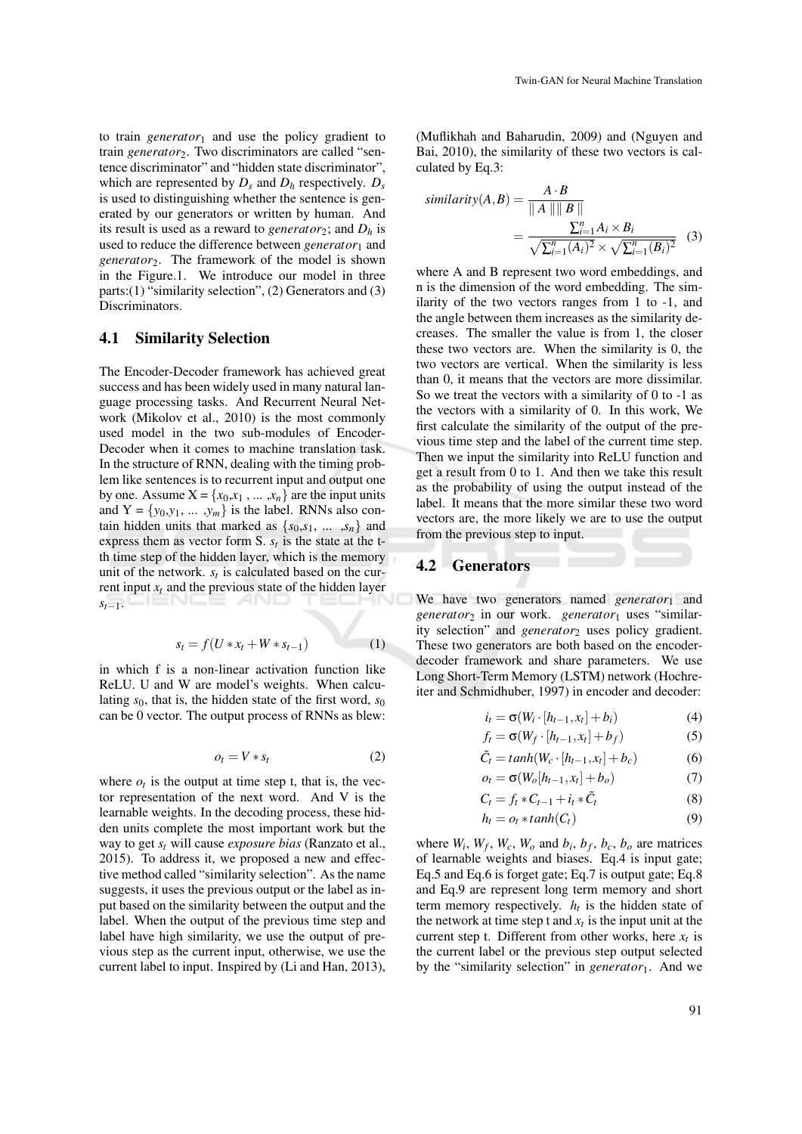to train *generator*<sup>1</sup> and use the policy gradient to train *generator*<sub>2</sub>. Two discriminators are called "sentence discriminator" and "hidden state discriminator", which are represented by  $D_s$  and  $D_h$  respectively.  $D_s$ is used to distinguishing whether the sentence is generated by our generators or written by human. And its result is used as a reward to *generator*<sub>2</sub>; and  $D_h$  is used to reduce the difference between *generator*<sup>1</sup> and *generator*2. The framework of the model is shown in the Figure.1. We introduce our model in three parts:(1) "similarity selection", (2) Generators and (3) Discriminators.

#### 4.1 Similarity Selection

The Encoder-Decoder framework has achieved great success and has been widely used in many natural language processing tasks. And Recurrent Neural Network (Mikolov et al., 2010) is the most commonly used model in the two sub-modules of Encoder-Decoder when it comes to machine translation task. In the structure of RNN, dealing with the timing problem like sentences is to recurrent input and output one by one. Assume  $X = \{x_0, x_1, \dots, x_n\}$  are the input units and  $Y = \{y_0, y_1, \dots, y_m\}$  is the label. RNNs also contain hidden units that marked as  $\{s_0, s_1, \ldots, s_n\}$  and express them as vector form  $S$ .  $s_t$  is the state at the tth time step of the hidden layer, which is the memory unit of the network.  $s_t$  is calculated based on the current input  $x_t$  and the previous state of the hidden layer  $s_{t-1}$ .

$$
s_t = f(U \ast x_t + W \ast s_{t-1}) \tag{1}
$$

in which f is a non-linear activation function like ReLU. U and W are model's weights. When calculating *s*<sub>0</sub>, that is, the hidden state of the first word, *s*<sub>0</sub> can be 0 vector. The output process of RNNs as blew:

$$
o_t = V * s_t \tag{2}
$$

where  $o_t$  is the output at time step t, that is, the vector representation of the next word. And V is the learnable weights. In the decoding process, these hidden units complete the most important work but the way to get *s<sup>t</sup>* will cause *exposure bias* (Ranzato et al., 2015). To address it, we proposed a new and effective method called "similarity selection". As the name suggests, it uses the previous output or the label as input based on the similarity between the output and the label. When the output of the previous time step and label have high similarity, we use the output of previous step as the current input, otherwise, we use the current label to input. Inspired by (Li and Han, 2013),

(Muflikhah and Baharudin, 2009) and (Nguyen and Bai, 2010), the similarity of these two vectors is calculated by Eq.3:

\n
$$
\text{similarity}(A, B) = \frac{A \cdot B}{\|A\| \|B\|} \\
= \frac{\sum_{i=1}^{n} A_i \times B_i}{\sqrt{\sum_{i=1}^{n} (A_i)^2} \times \sqrt{\sum_{i=1}^{n} (B_i)^2}} \quad (3)
$$
\n

where A and B represent two word embeddings, and n is the dimension of the word embedding. The similarity of the two vectors ranges from 1 to -1, and the angle between them increases as the similarity decreases. The smaller the value is from 1, the closer these two vectors are. When the similarity is 0, the two vectors are vertical. When the similarity is less than 0, it means that the vectors are more dissimilar. So we treat the vectors with a similarity of 0 to -1 as the vectors with a similarity of 0. In this work, We first calculate the similarity of the output of the previous time step and the label of the current time step. Then we input the similarity into ReLU function and get a result from 0 to 1. And then we take this result as the probability of using the output instead of the label. It means that the more similar these two word vectors are, the more likely we are to use the output from the previous step to input.

#### 4.2 Generators

We have two generators named *generator*<sup>1</sup> and *generator*<sub>2</sub> in our work. *generator*<sub>1</sub> uses "similarity selection" and *generator*<sub>2</sub> uses policy gradient. These two generators are both based on the encoderdecoder framework and share parameters. We use Long Short-Term Memory (LSTM) network (Hochreiter and Schmidhuber, 1997) in encoder and decoder:

$$
i_t = \sigma(W_i \cdot [h_{t-1}, x_t] + b_i)
$$
\n<sup>(4)</sup>

$$
f_t = \sigma(W_f \cdot [h_{t-1}, x_t] + b_f)
$$
 (5)

$$
\tilde{C}_t = \tanh(W_c \cdot [h_{t-1}, x_t] + b_c) \tag{6}
$$

$$
o_t = \sigma(W_o[h_{t-1}, x_t] + b_o)
$$
\n<sup>(7)</sup>

$$
C_t = f_t * C_{t-1} + i_t * \tilde{C}_t \tag{8}
$$

$$
h_t = o_t * tanh(C_t) \tag{9}
$$

where  $W_i$ ,  $W_f$ ,  $W_c$ ,  $W_o$  and  $b_i$ ,  $b_f$ ,  $b_c$ ,  $b_o$  are matrices of learnable weights and biases. Eq.4 is input gate; Eq.5 and Eq.6 is forget gate; Eq.7 is output gate; Eq.8 and Eq.9 are represent long term memory and short term memory respectively.  $h_t$  is the hidden state of the network at time step t and  $x_t$  is the input unit at the current step t. Different from other works, here  $x_t$  is the current label or the previous step output selected by the "similarity selection" in *generator*<sub>1</sub>. And we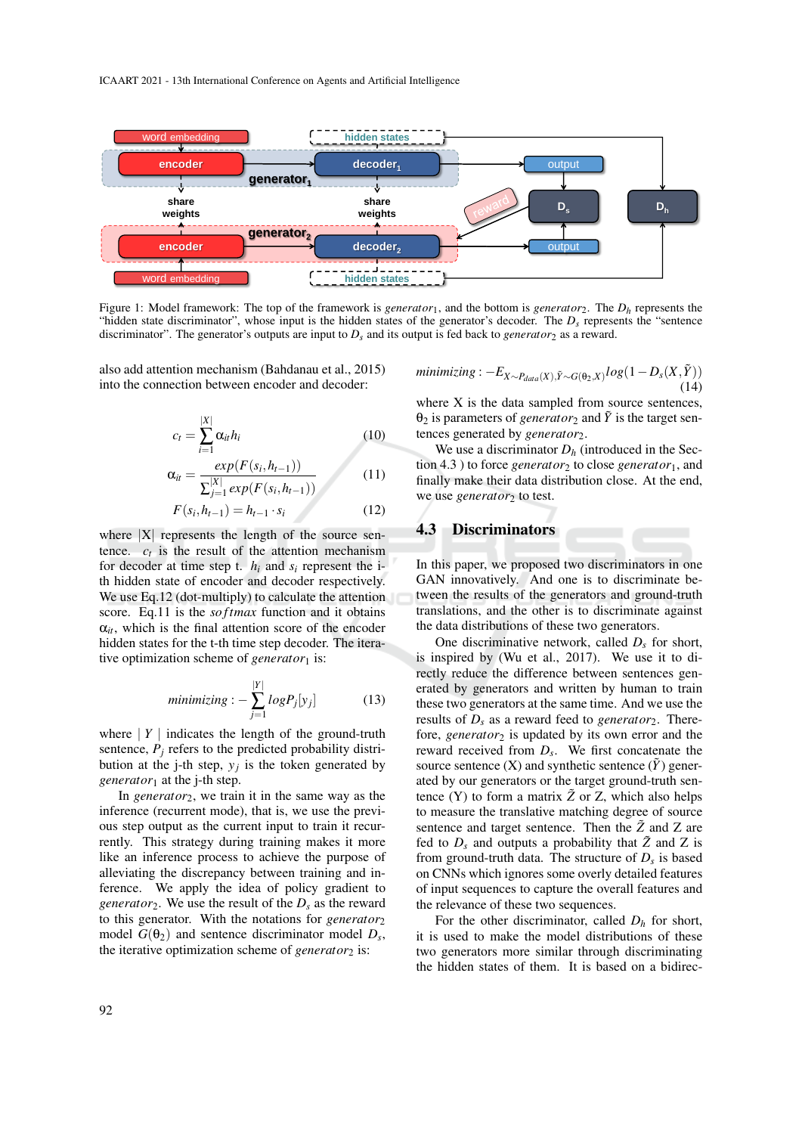

Figure 1: Model framework: The top of the framework is *generator*<sub>1</sub>, and the bottom is *generator*<sub>2</sub>. The  $D_h$  represents the "hidden state discriminator", whose input is the hidden states of the generator's decoder. The *Ds* represents the "sentence discriminator". The generator's outputs are input to  $D_s$  and its output is fed back to *generator*<sub>2</sub> as a reward.

also add attention mechanism (Bahdanau et al., 2015) into the connection between encoder and decoder:

$$
c_t = \sum_{i=1}^{|X|} \alpha_{it} h_i \tag{10}
$$

$$
\alpha_{it} = \frac{exp(F(s_i, h_{t-1}))}{\sum_{j=1}^{|X|} exp(F(s_i, h_{t-1}))}
$$
(11)

$$
F(s_i, h_{t-1}) = h_{t-1} \cdot s_i \tag{12}
$$

where  $|X|$  represents the length of the source sentence.  $c_t$  is the result of the attention mechanism for decoder at time step t.  $h_i$  and  $s_i$  represent the ith hidden state of encoder and decoder respectively. We use Eq.12 (dot-multiply) to calculate the attention score. Eq.11 is the *so ftmax* function and it obtains  $\alpha_{it}$ , which is the final attention score of the encoder hidden states for the t-th time step decoder. The iterative optimization scheme of *generator*<sup>1</sup> is:

$$
minimizing: -\sum_{j=1}^{|Y|} log P_j[y_j]
$$
 (13)

where  $|Y|$  indicates the length of the ground-truth sentence,  $P_j$  refers to the predicted probability distribution at the j-th step,  $y_j$  is the token generated by *generator*<sup>1</sup> at the j-th step.

In *generator*2, we train it in the same way as the inference (recurrent mode), that is, we use the previous step output as the current input to train it recurrently. This strategy during training makes it more like an inference process to achieve the purpose of alleviating the discrepancy between training and inference. We apply the idea of policy gradient to *generator*<sub>2</sub>. We use the result of the  $D_s$  as the reward to this generator. With the notations for *generator*<sub>2</sub> model  $G(\theta_2)$  and sentence discriminator model  $D_s$ , the iterative optimization scheme of *generator*<sub>2</sub> is:

$$
minimizing: -E_{X \sim P_{data}(X), \tilde{Y} \sim G(\theta_2, X)} log(1 - D_s(X, \tilde{Y}))
$$
\n(14)

where X is the data sampled from source sentences,  $\theta_2$  is parameters of *generator*<sub>2</sub> and  $\tilde{Y}$  is the target sentences generated by *generator*2.

We use a discriminator  $D_h$  (introduced in the Section 4.3 ) to force *generator*<sub>2</sub> to close *generator*<sub>1</sub>, and finally make their data distribution close. At the end, we use *generator*<sup>2</sup> to test.

#### 4.3 Discriminators

In this paper, we proposed two discriminators in one GAN innovatively. And one is to discriminate between the results of the generators and ground-truth translations, and the other is to discriminate against the data distributions of these two generators.

One discriminative network, called *D<sup>s</sup>* for short, is inspired by (Wu et al., 2017). We use it to directly reduce the difference between sentences generated by generators and written by human to train these two generators at the same time. And we use the results of *D<sup>s</sup>* as a reward feed to *generator*2. Therefore, *generator*<sub>2</sub> is updated by its own error and the reward received from *D<sup>s</sup>* . We first concatenate the source sentence  $(X)$  and synthetic sentence  $(\tilde{Y})$  generated by our generators or the target ground-truth sentence  $(Y)$  to form a matrix  $\tilde{Z}$  or  $Z$ , which also helps to measure the translative matching degree of source sentence and target sentence. Then the  $\tilde{Z}$  and  $Z$  are fed to  $D_s$  and outputs a probability that  $\tilde{Z}$  and Z is from ground-truth data. The structure of  $D_s$  is based on CNNs which ignores some overly detailed features of input sequences to capture the overall features and the relevance of these two sequences.

For the other discriminator, called  $D_h$  for short, it is used to make the model distributions of these two generators more similar through discriminating the hidden states of them. It is based on a bidirec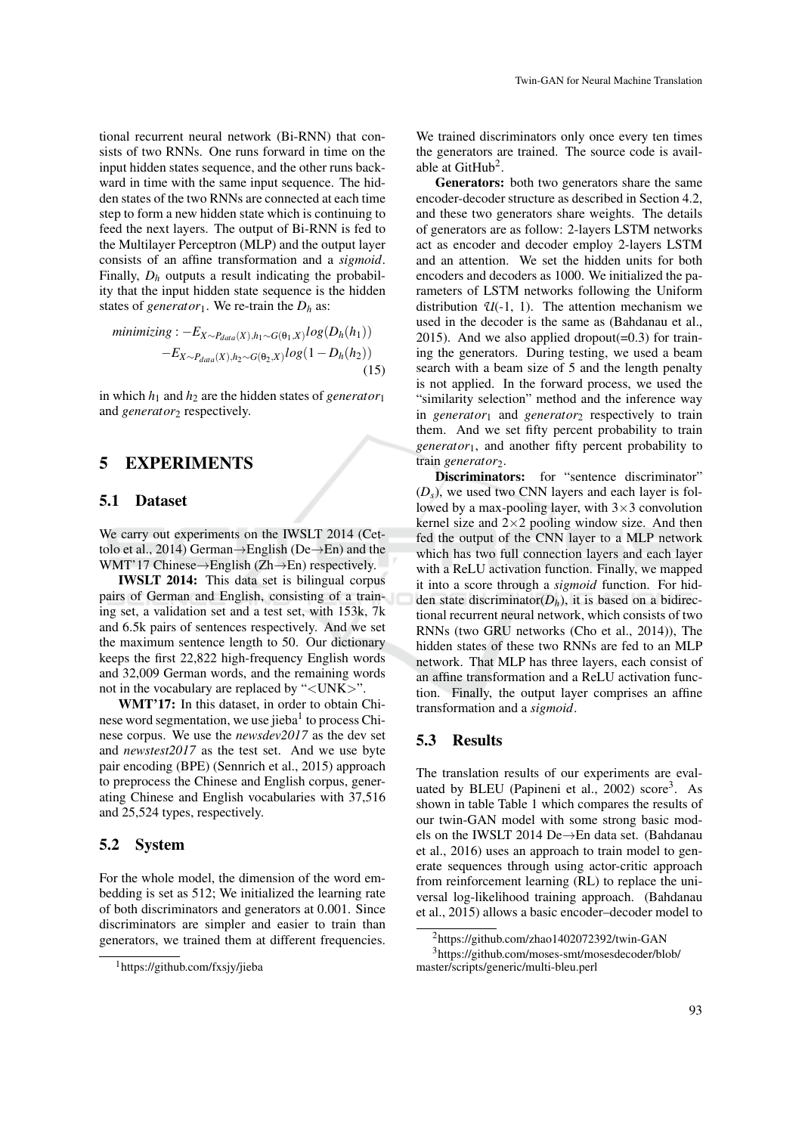tional recurrent neural network (Bi-RNN) that consists of two RNNs. One runs forward in time on the input hidden states sequence, and the other runs backward in time with the same input sequence. The hidden states of the two RNNs are connected at each time step to form a new hidden state which is continuing to feed the next layers. The output of Bi-RNN is fed to the Multilayer Perceptron (MLP) and the output layer consists of an affine transformation and a *sigmoid*. Finally, *D<sup>h</sup>* outputs a result indicating the probability that the input hidden state sequence is the hidden states of *generator*<sub>1</sub>. We re-train the  $D_h$  as:

$$
minimizing: -E_{X \sim P_{data}(X), h_1 \sim G(\theta_1, X)} log(D_h(h_1)) -E_{X \sim P_{data}(X), h_2 \sim G(\theta_2, X)} log(1 - D_h(h_2))
$$
\n(15)

in which  $h_1$  and  $h_2$  are the hidden states of *generator*<sup>1</sup> and *generator*<sub>2</sub> respectively.

## 5 EXPERIMENTS

#### 5.1 Dataset

We carry out experiments on the IWSLT 2014 (Cettolo et al., 2014) German→English (De→En) and the WMT'17 Chinese→English (Zh→En) respectively.

IWSLT 2014: This data set is bilingual corpus pairs of German and English, consisting of a training set, a validation set and a test set, with 153k, 7k and 6.5k pairs of sentences respectively. And we set the maximum sentence length to 50. Our dictionary keeps the first 22,822 high-frequency English words and 32,009 German words, and the remaining words not in the vocabulary are replaced by "<UNK>".

WMT'17: In this dataset, in order to obtain Chinese word segmentation, we use jieba<sup>1</sup> to process Chinese corpus. We use the *newsdev2017* as the dev set and *newstest2017* as the test set. And we use byte pair encoding (BPE) (Sennrich et al., 2015) approach to preprocess the Chinese and English corpus, generating Chinese and English vocabularies with 37,516 and 25,524 types, respectively.

#### 5.2 System

For the whole model, the dimension of the word embedding is set as 512; We initialized the learning rate of both discriminators and generators at 0.001. Since discriminators are simpler and easier to train than generators, we trained them at different frequencies.

We trained discriminators only once every ten times the generators are trained. The source code is available at GitHub<sup>2</sup>.

Generators: both two generators share the same encoder-decoder structure as described in Section 4.2, and these two generators share weights. The details of generators are as follow: 2-layers LSTM networks act as encoder and decoder employ 2-layers LSTM and an attention. We set the hidden units for both encoders and decoders as 1000. We initialized the parameters of LSTM networks following the Uniform distribution  $U(-1, 1)$ . The attention mechanism we used in the decoder is the same as (Bahdanau et al., 2015). And we also applied dropout $(=0.3)$  for training the generators. During testing, we used a beam search with a beam size of 5 and the length penalty is not applied. In the forward process, we used the "similarity selection" method and the inference way in *generator*<sub>1</sub> and *generator*<sub>2</sub> respectively to train them. And we set fifty percent probability to train *generator*1, and another fifty percent probability to train *generator*<sub>2</sub>.

Discriminators: for "sentence discriminator"  $(D_s)$ , we used two CNN layers and each layer is followed by a max-pooling layer, with  $3\times3$  convolution kernel size and  $2\times 2$  pooling window size. And then fed the output of the CNN layer to a MLP network which has two full connection layers and each layer with a ReLU activation function. Finally, we mapped it into a score through a *sigmoid* function. For hidden state discriminator $(D_h)$ , it is based on a bidirectional recurrent neural network, which consists of two RNNs (two GRU networks (Cho et al., 2014)), The hidden states of these two RNNs are fed to an MLP network. That MLP has three layers, each consist of an affine transformation and a ReLU activation function. Finally, the output layer comprises an affine transformation and a *sigmoid*.

#### 5.3 Results

The translation results of our experiments are evaluated by BLEU (Papineni et al., 2002) score<sup>3</sup>. As shown in table Table 1 which compares the results of our twin-GAN model with some strong basic models on the IWSLT 2014 De→En data set. (Bahdanau et al., 2016) uses an approach to train model to generate sequences through using actor-critic approach from reinforcement learning (RL) to replace the universal log-likelihood training approach. (Bahdanau et al., 2015) allows a basic encoder–decoder model to

<sup>1</sup>https://github.com/fxsjy/jieba

<sup>2</sup>https://github.com/zhao1402072392/twin-GAN

<sup>3</sup>https://github.com/moses-smt/mosesdecoder/blob/ master/scripts/generic/multi-bleu.perl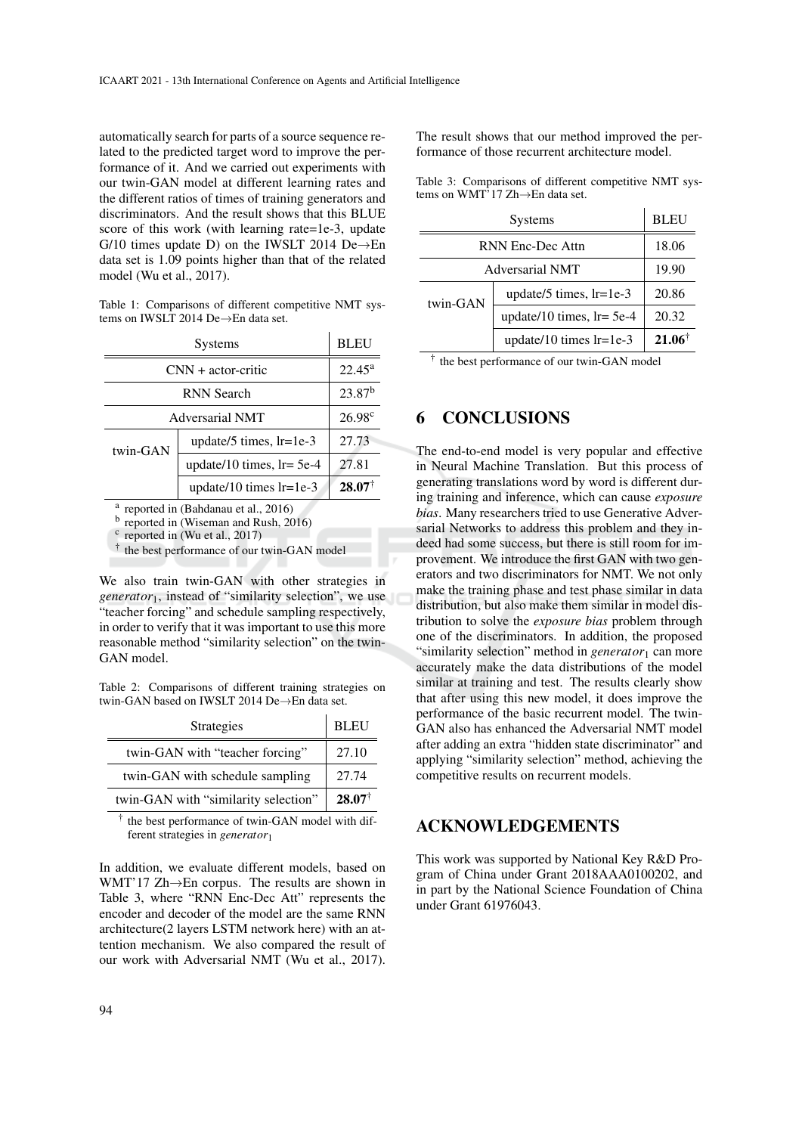automatically search for parts of a source sequence related to the predicted target word to improve the performance of it. And we carried out experiments with our twin-GAN model at different learning rates and the different ratios of times of training generators and discriminators. And the result shows that this BLUE score of this work (with learning rate=1e-3, update G/10 times update D) on the IWSLT 2014 De $\rightarrow$ En data set is 1.09 points higher than that of the related model (Wu et al., 2017).

Table 1: Comparisons of different competitive NMT systems on IWSLT 2014 De→En data set.

| <b>Systems</b>         |                            | <b>BLEU</b>        |
|------------------------|----------------------------|--------------------|
| $CNN + actor-critic$   |                            | $22.45^{\rm a}$    |
| <b>RNN</b> Search      |                            | 23.87 <sup>b</sup> |
| <b>Adversarial NMT</b> |                            | $26.98^{\circ}$    |
| twin-GAN               | update/5 times, $lr=1e-3$  | 27.73              |
|                        | update/10 times, $Ir=5e-4$ | 27.81              |
|                        | update/10 times $Ir=1e-3$  | $28.07^+$          |

a reported in (Bahdanau et al., 2016)

**b** reported in (Wiseman and Rush, 2016)

c reported in (Wu et al., 2017)

† the best performance of our twin-GAN model

We also train twin-GAN with other strategies in *generator*1, instead of "similarity selection", we use "teacher forcing" and schedule sampling respectively, in order to verify that it was important to use this more reasonable method "similarity selection" on the twin-GAN model.

Table 2: Comparisons of different training strategies on twin-GAN based on IWSLT 2014 De→En data set.

| Strategies                           | <b>BLEU</b>       |
|--------------------------------------|-------------------|
| twin-GAN with "teacher forcing"      | 27.10             |
| twin-GAN with schedule sampling      | 27.74             |
| twin-GAN with "similarity selection" | $28.07^{\dagger}$ |

† the best performance of twin-GAN model with different strategies in *generator*<sup>1</sup>

In addition, we evaluate different models, based on WMT'17 Zh→En corpus. The results are shown in Table 3, where "RNN Enc-Dec Att" represents the encoder and decoder of the model are the same RNN architecture(2 layers LSTM network here) with an attention mechanism. We also compared the result of our work with Adversarial NMT (Wu et al., 2017).

The result shows that our method improved the performance of those recurrent architecture model.

Table 3: Comparisons of different competitive NMT systems on WMT'17 Zh→En data set.

| <b>Systems</b>         |                              | <b>BLEU</b>       |
|------------------------|------------------------------|-------------------|
| RNN Enc-Dec Attn       |                              | 18.06             |
| <b>Adversarial NMT</b> |                              | 19.90             |
| twin-GAN               | update/5 times, $Ir=1e-3$    | 20.86             |
|                        | update/10 times, $Ir = 5e-4$ | 20.32             |
|                        | update/10 times $lr=1e-3$    | $21.06^{\dagger}$ |

† the best performance of our twin-GAN model

# 6 CONCLUSIONS

The end-to-end model is very popular and effective in Neural Machine Translation. But this process of generating translations word by word is different during training and inference, which can cause *exposure bias*. Many researchers tried to use Generative Adversarial Networks to address this problem and they indeed had some success, but there is still room for improvement. We introduce the first GAN with two generators and two discriminators for NMT. We not only make the training phase and test phase similar in data distribution, but also make them similar in model distribution to solve the *exposure bias* problem through one of the discriminators. In addition, the proposed "similarity selection" method in *generator*<sup>1</sup> can more accurately make the data distributions of the model similar at training and test. The results clearly show that after using this new model, it does improve the performance of the basic recurrent model. The twin-GAN also has enhanced the Adversarial NMT model after adding an extra "hidden state discriminator" and applying "similarity selection" method, achieving the competitive results on recurrent models.

# ACKNOWLEDGEMENTS

This work was supported by National Key R&D Program of China under Grant 2018AAA0100202, and in part by the National Science Foundation of China under Grant 61976043.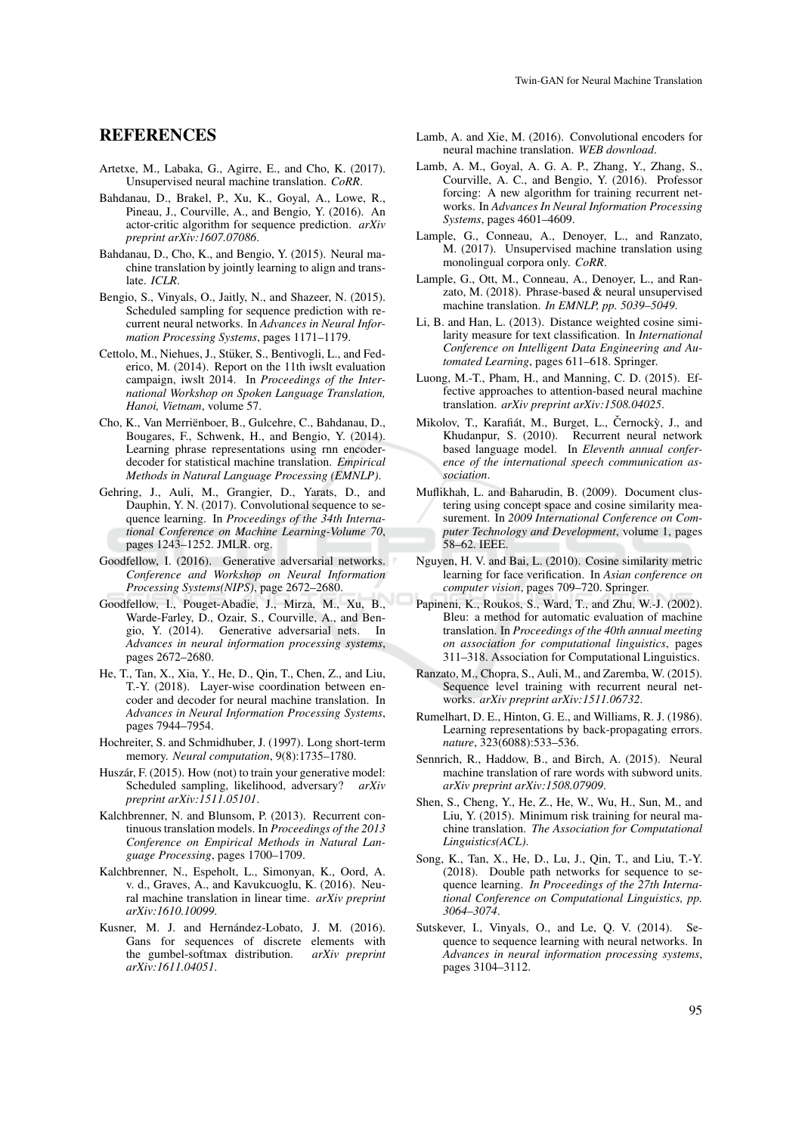### REFERENCES

- Artetxe, M., Labaka, G., Agirre, E., and Cho, K. (2017). Unsupervised neural machine translation. *CoRR*.
- Bahdanau, D., Brakel, P., Xu, K., Goyal, A., Lowe, R., Pineau, J., Courville, A., and Bengio, Y. (2016). An actor-critic algorithm for sequence prediction. *arXiv preprint arXiv:1607.07086*.
- Bahdanau, D., Cho, K., and Bengio, Y. (2015). Neural machine translation by jointly learning to align and translate. *ICLR*.
- Bengio, S., Vinyals, O., Jaitly, N., and Shazeer, N. (2015). Scheduled sampling for sequence prediction with recurrent neural networks. In *Advances in Neural Information Processing Systems*, pages 1171–1179.
- Cettolo, M., Niehues, J., Stüker, S., Bentivogli, L., and Federico, M. (2014). Report on the 11th iwslt evaluation campaign, iwslt 2014. In *Proceedings of the International Workshop on Spoken Language Translation, Hanoi, Vietnam*, volume 57.
- Cho, K., Van Merrienboer, B., Gulcehre, C., Bahdanau, D., ¨ Bougares, F., Schwenk, H., and Bengio, Y. (2014). Learning phrase representations using rnn encoderdecoder for statistical machine translation. *Empirical Methods in Natural Language Processing (EMNLP)*.
- Gehring, J., Auli, M., Grangier, D., Yarats, D., and Dauphin, Y. N. (2017). Convolutional sequence to sequence learning. In *Proceedings of the 34th International Conference on Machine Learning-Volume 70*, pages 1243–1252. JMLR. org.
- Goodfellow, I. (2016). Generative adversarial networks. *Conference and Workshop on Neural Information Processing Systems(NIPS)*, page 2672–2680.
- Goodfellow, I., Pouget-Abadie, J., Mirza, M., Xu, B., Warde-Farley, D., Ozair, S., Courville, A., and Bengio, Y. (2014). Generative adversarial nets. In *Advances in neural information processing systems*, pages 2672–2680.
- He, T., Tan, X., Xia, Y., He, D., Qin, T., Chen, Z., and Liu, T.-Y. (2018). Layer-wise coordination between encoder and decoder for neural machine translation. In *Advances in Neural Information Processing Systems*, pages 7944–7954.
- Hochreiter, S. and Schmidhuber, J. (1997). Long short-term memory. *Neural computation*, 9(8):1735–1780.
- Huszár, F. (2015). How (not) to train your generative model: Scheduled sampling, likelihood, adversary? *arXiv preprint arXiv:1511.05101*.
- Kalchbrenner, N. and Blunsom, P. (2013). Recurrent continuous translation models. In *Proceedings of the 2013 Conference on Empirical Methods in Natural Language Processing*, pages 1700–1709.
- Kalchbrenner, N., Espeholt, L., Simonyan, K., Oord, A. v. d., Graves, A., and Kavukcuoglu, K. (2016). Neural machine translation in linear time. *arXiv preprint arXiv:1610.10099*.
- Kusner, M. J. and Hernández-Lobato, J. M. (2016). Gans for sequences of discrete elements with the gumbel-softmax distribution. arXiv preprint the gumbel-softmax distribution. *arXiv:1611.04051*.
- Lamb, A. and Xie, M. (2016). Convolutional encoders for neural machine translation. *WEB download*.
- Lamb, A. M., Goyal, A. G. A. P., Zhang, Y., Zhang, S., Courville, A. C., and Bengio, Y. (2016). Professor forcing: A new algorithm for training recurrent networks. In *Advances In Neural Information Processing Systems*, pages 4601–4609.
- Lample, G., Conneau, A., Denoyer, L., and Ranzato, M. (2017). Unsupervised machine translation using monolingual corpora only. *CoRR*.
- Lample, G., Ott, M., Conneau, A., Denoyer, L., and Ranzato, M. (2018). Phrase-based & neural unsupervised machine translation. *In EMNLP, pp. 5039–5049*.
- Li, B. and Han, L. (2013). Distance weighted cosine similarity measure for text classification. In *International Conference on Intelligent Data Engineering and Automated Learning*, pages 611–618. Springer.
- Luong, M.-T., Pham, H., and Manning, C. D. (2015). Effective approaches to attention-based neural machine translation. *arXiv preprint arXiv:1508.04025*.
- Mikolov, T., Karafiát, M., Burget, L., Černockỳ, J., and Khudanpur, S. (2010). Recurrent neural network based language model. In *Eleventh annual conference of the international speech communication association*.
- Muflikhah, L. and Baharudin, B. (2009). Document clustering using concept space and cosine similarity measurement. In *2009 International Conference on Computer Technology and Development*, volume 1, pages 58–62. IEEE.
- Nguyen, H. V. and Bai, L. (2010). Cosine similarity metric learning for face verification. In *Asian conference on computer vision*, pages 709–720. Springer.
- Papineni, K., Roukos, S., Ward, T., and Zhu, W.-J. (2002). Bleu: a method for automatic evaluation of machine translation. In *Proceedings of the 40th annual meeting on association for computational linguistics*, pages 311–318. Association for Computational Linguistics.
- Ranzato, M., Chopra, S., Auli, M., and Zaremba, W. (2015). Sequence level training with recurrent neural networks. *arXiv preprint arXiv:1511.06732*.
- Rumelhart, D. E., Hinton, G. E., and Williams, R. J. (1986). Learning representations by back-propagating errors. *nature*, 323(6088):533–536.
- Sennrich, R., Haddow, B., and Birch, A. (2015). Neural machine translation of rare words with subword units. *arXiv preprint arXiv:1508.07909*.
- Shen, S., Cheng, Y., He, Z., He, W., Wu, H., Sun, M., and Liu, Y. (2015). Minimum risk training for neural machine translation. *The Association for Computational Linguistics(ACL)*.
- Song, K., Tan, X., He, D., Lu, J., Qin, T., and Liu, T.-Y. (2018). Double path networks for sequence to sequence learning. *In Proceedings of the 27th International Conference on Computational Linguistics, pp. 3064–3074*.
- Sutskever, I., Vinyals, O., and Le, Q. V. (2014). Sequence to sequence learning with neural networks. In *Advances in neural information processing systems*, pages 3104–3112.